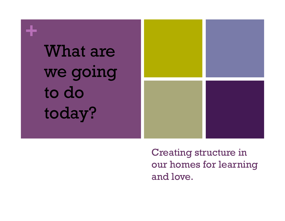

Creating structure in our homes for learning and love.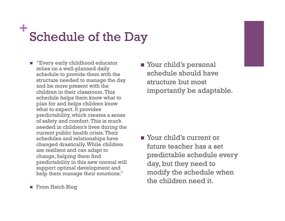## **+** Schedule of the Day

- "Every early childhood educator relies on a well-planned daily schedule to provide them with the structure needed to manage the day and be more present with the children in their classroom. This schedule helps them know what to plan for and helps children know what to expect. It provides predictability, which creates a sense of safety and comfort. This is much needed in children's lives during the current public health crisis. Their schedules and relationships have changed drastically. While children are resilient and can adapt to change, helping them find predictability in this new normal will support optimal development and help them manage their emotions."
- From Hatch Blog

■ Your child's personal schedule should have structure but most importantly be adaptable.

**Nour child's current or** future teacher has a set predictable schedule every day, but they need to modify the schedule when the children need it.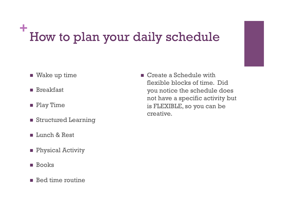### **+** How to plan your daily schedule

- $\blacksquare$  Wake up time
- **n** Breakfast
- **n** Play Time
- **n** Structured Learning
- **n** Lunch & Rest
- **n** Physical Activity
- **n** Books
- $\blacksquare$  Bed time routine

 $\blacksquare$  Create a Schedule with flexible blocks of time. Did you notice the schedule does not have a specific activity but is FLEXIBLE, so you can be creative.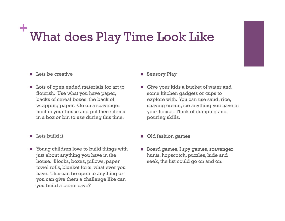#### **+** What does Play Time Look Like

#### $\blacksquare$  Lets be creative

- **n** Lots of open ended materials for art to flourish. Use what you have paper, backs of cereal boxes, the back of wrapping paper. Go on a scavenger hunt in your house and put these items in a box or bin to use during this time.
- **n** Lets build it
- Young children love to build things with just about anything you have in the house. Blocks, boxes, pillows, paper towel rolls, blanket forts, what ever you have. This can be open to anything or you can give them a challenge like can you build a bears cave?
- **n** Sensory Play
- Give your kids a bucket of water and some kitchen gadgets or cups to explore with. You can use sand, rice, shaving cream, ice anything you have in your house. Think of dumping and pouring skills.
- **n** Old fashion games
- **n** Board games, I spy games, scavenger hunts, hopscotch, puzzles, hide and seek, the list could go on and on.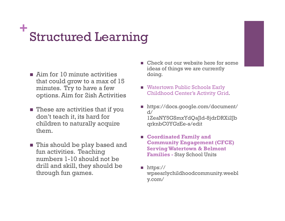# **+** Structured Learning

- $\blacksquare$  Aim for 10 minute activities that could grow to a max of 15 minutes. Try to have a few options. Aim for 2ish Activities
- $\blacksquare$  These are activities that if you don't teach it, its hard for children to naturally acquire them.
- This should be play based and fun activities. Teaching numbers 1-10 should not be drill and skill, they should be through fun games.
- $\blacksquare$  Check out our website here for some ideas of things we are currently doing.
- Watertown Public Schools Early Childhood Center's Activity Grid.
- https://docs.google.com/document/  $d/$ 1ZeaNY5GSmxYdQaJld-8jdrDRXi2Jb qrknbC0YGzEe-s/edit
- n **Coordinated Family and Community Engagement (CFCE) Serving Watertown & Belmont Families -** Stay School Units
- n https:// wpsearlychildhoodcommunity.weebl y.com/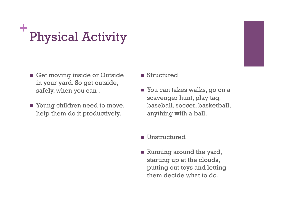# **+** Physical Activity

- Get moving inside or Outside in your yard. So get outside, safely, when you can .
- Young children need to move, help them do it productively.
- **n** Structured
- You can takes walks, go on a scavenger hunt, play tag, baseball, soccer, basketball, anything with a ball.
- **n** Unstructured
- **n** Running around the yard, starting up at the clouds, putting out toys and letting them decide what to do.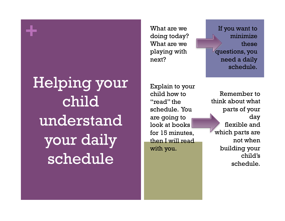Helping your child understand your daily schedule

**+**

What are we doing today? What are we playing with next?

If you want to minimize these questions, you need a daily schedule.

Explain to your child how to "read" the schedule. You are going to look at books for 15 minutes, then I will read with you.

Remember to think about what parts of your day flexible and which parts are not when building your child's schedule.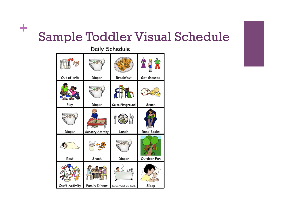#### **+** Sample Toddler Visual Schedule

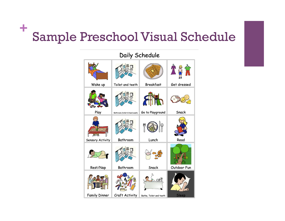#### **+** Sample Preschool Visual Schedule

 $\sim$   $\cdot$ 

| Daily Schedule   |                               |                         |              |
|------------------|-------------------------------|-------------------------|--------------|
|                  |                               |                         | ê  î         |
| Wake up          | Toilet and teeth              | <b>Breakfast</b>        | Get dressed  |
|                  |                               | תווו                    |              |
| Play             | Bathroom (toilet & hand wash) | Go to Playground        | Snack        |
|                  |                               |                         |              |
| Sensory Activity | Bathroom                      | Lunch                   | Read         |
|                  |                               |                         |              |
| Rest/Nap         | Bathroom                      | Snack                   | Outdoor Fun  |
|                  |                               | ැසු                     |              |
| Family Dinner    | Craft Activity                | Bathe, Toilet and teeth | <b>Sleep</b> |

 $\mathbf{r}$ 

 $\sim$   $\blacksquare$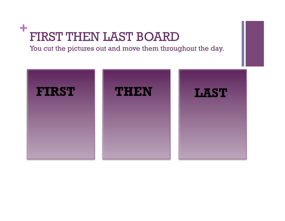#### **+** FIRST THEN LAST BOARD

You cut the pictures out and move them throughout the day.